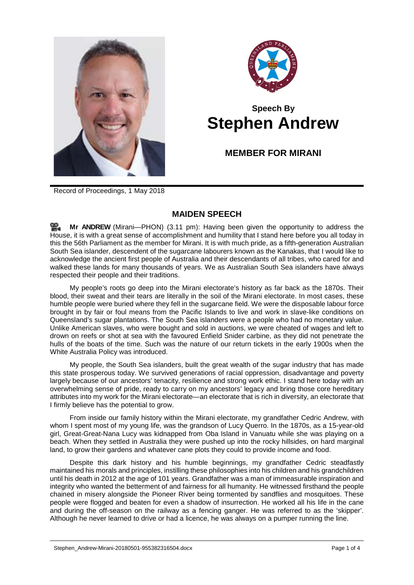



## **Speech By Stephen Andrew**

**MEMBER FOR MIRANI**

Record of Proceedings, 1 May 2018

## **MAIDEN SPEECH**

**Mr [ANDREW](http://www.parliament.qld.gov.au/docs/find.aspx?id=0Mba20180501_151116)** (Mirani—PHON) (3.11 pm): Having been given the opportunity to address the House, it is with a great sense of accomplishment and humility that I stand here before you all today in this the 56th Parliament as the member for Mirani. It is with much pride, as a fifth-generation Australian South Sea islander, descendent of the sugarcane labourers known as the Kanakas, that I would like to acknowledge the ancient first people of Australia and their descendants of all tribes, who cared for and walked these lands for many thousands of years. We as Australian South Sea islanders have always respected their people and their traditions.

My people's roots go deep into the Mirani electorate's history as far back as the 1870s. Their blood, their sweat and their tears are literally in the soil of the Mirani electorate. In most cases, these humble people were buried where they fell in the sugarcane field. We were the disposable labour force brought in by fair or foul means from the Pacific Islands to live and work in slave-like conditions on Queensland's sugar plantations. The South Sea islanders were a people who had no monetary value. Unlike American slaves, who were bought and sold in auctions, we were cheated of wages and left to drown on reefs or shot at sea with the favoured Enfield Snider carbine, as they did not penetrate the hulls of the boats of the time. Such was the nature of our return tickets in the early 1900s when the White Australia Policy was introduced.

My people, the South Sea islanders, built the great wealth of the sugar industry that has made this state prosperous today. We survived generations of racial oppression, disadvantage and poverty largely because of our ancestors' tenacity, resilience and strong work ethic. I stand here today with an overwhelming sense of pride, ready to carry on my ancestors' legacy and bring those core hereditary attributes into my work for the Mirani electorate—an electorate that is rich in diversity, an electorate that I firmly believe has the potential to grow.

From inside our family history within the Mirani electorate, my grandfather Cedric Andrew, with whom I spent most of my young life, was the grandson of Lucy Querro. In the 1870s, as a 15-year-old girl, Great-Great-Nana Lucy was kidnapped from Oba Island in Vanuatu while she was playing on a beach. When they settled in Australia they were pushed up into the rocky hillsides, on hard marginal land, to grow their gardens and whatever cane plots they could to provide income and food.

Despite this dark history and his humble beginnings, my grandfather Cedric steadfastly maintained his morals and principles, instilling these philosophies into his children and his grandchildren until his death in 2012 at the age of 101 years. Grandfather was a man of immeasurable inspiration and integrity who wanted the betterment of and fairness for all humanity. He witnessed firsthand the people chained in misery alongside the Pioneer River being tormented by sandflies and mosquitoes. These people were flogged and beaten for even a shadow of insurrection. He worked all his life in the cane and during the off-season on the railway as a fencing ganger. He was referred to as the 'skipper'. Although he never learned to drive or had a licence, he was always on a pumper running the line.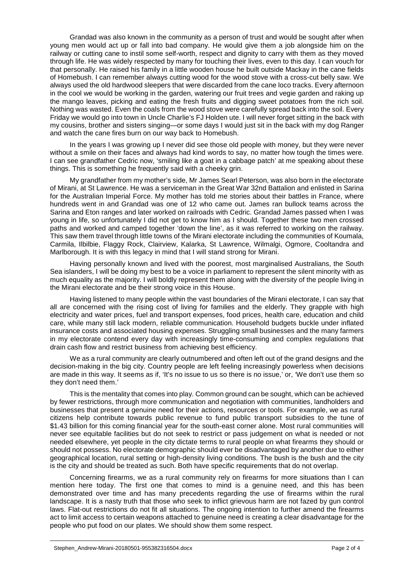Grandad was also known in the community as a person of trust and would be sought after when young men would act up or fall into bad company. He would give them a job alongside him on the railway or cutting cane to instil some self-worth, respect and dignity to carry with them as they moved through life. He was widely respected by many for touching their lives, even to this day. I can vouch for that personally. He raised his family in a little wooden house he built outside Mackay in the cane fields of Homebush. I can remember always cutting wood for the wood stove with a cross-cut belly saw. We always used the old hardwood sleepers that were discarded from the cane loco tracks. Every afternoon in the cool we would be working in the garden, watering our fruit trees and vegie garden and raking up the mango leaves, picking and eating the fresh fruits and digging sweet potatoes from the rich soil. Nothing was wasted. Even the coals from the wood stove were carefully spread back into the soil. Every Friday we would go into town in Uncle Charlie's FJ Holden ute. I will never forget sitting in the back with my cousins, brother and sisters singing—or some days I would just sit in the back with my dog Ranger and watch the cane fires burn on our way back to Homebush.

In the years I was growing up I never did see those old people with money, but they were never without a smile on their faces and always had kind words to say, no matter how tough the times were. I can see grandfather Cedric now, 'smiling like a goat in a cabbage patch' at me speaking about these things. This is something he frequently said with a cheeky grin.

My grandfather from my mother's side, Mr James Searl Peterson, was also born in the electorate of Mirani, at St Lawrence. He was a serviceman in the Great War 32nd Battalion and enlisted in Sarina for the Australian Imperial Force. My mother has told me stories about their battles in France, where hundreds went in and Grandad was one of 12 who came out. James ran bullock teams across the Sarina and Eton ranges and later worked on railroads with Cedric. Grandad James passed when I was young in life, so unfortunately I did not get to know him as I should. Together these two men crossed paths and worked and camped together 'down the line', as it was referred to working on the railway. This saw them travel through little towns of the Mirani electorate including the communities of Koumala, Carmila, Ilbilbie, Flaggy Rock, Clairview, Kalarka, St Lawrence, Wilmalgi, Ogmore, Cooltandra and Marlborough. It is with this legacy in mind that I will stand strong for Mirani.

Having personally known and lived with the poorest, most marginalised Australians, the South Sea islanders, I will be doing my best to be a voice in parliament to represent the silent minority with as much equality as the majority. I will boldly represent them along with the diversity of the people living in the Mirani electorate and be their strong voice in this House.

Having listened to many people within the vast boundaries of the Mirani electorate, I can say that all are concerned with the rising cost of living for families and the elderly. They grapple with high electricity and water prices, fuel and transport expenses, food prices, health care, education and child care, while many still lack modern, reliable communication. Household budgets buckle under inflated insurance costs and associated housing expenses. Struggling small businesses and the many farmers in my electorate contend every day with increasingly time-consuming and complex regulations that drain cash flow and restrict business from achieving best efficiency.

We as a rural community are clearly outnumbered and often left out of the grand designs and the decision-making in the big city. Country people are left feeling increasingly powerless when decisions are made in this way. It seems as if, 'It's no issue to us so there is no issue,' or, 'We don't use them so they don't need them.'

This is the mentality that comes into play. Common ground can be sought, which can be achieved by fewer restrictions, through more communication and negotiation with communities, landholders and businesses that present a genuine need for their actions, resources or tools. For example, we as rural citizens help contribute towards public revenue to fund public transport subsidies to the tune of \$1.43 billion for this coming financial year for the south-east corner alone. Most rural communities will never see equitable facilities but do not seek to restrict or pass judgement on what is needed or not needed elsewhere, yet people in the city dictate terms to rural people on what firearms they should or should not possess. No electorate demographic should ever be disadvantaged by another due to either geographical location, rural setting or high-density living conditions. The bush is the bush and the city is the city and should be treated as such. Both have specific requirements that do not overlap.

Concerning firearms, we as a rural community rely on firearms for more situations than I can mention here today. The first one that comes to mind is a genuine need, and this has been demonstrated over time and has many precedents regarding the use of firearms within the rural landscape. It is a nasty truth that those who seek to inflict grievous harm are not fazed by gun control laws. Flat-out restrictions do not fit all situations. The ongoing intention to further amend the firearms act to limit access to certain weapons attached to genuine need is creating a clear disadvantage for the people who put food on our plates. We should show them some respect.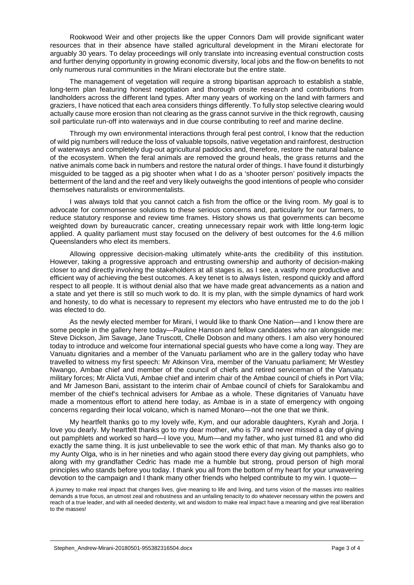Rookwood Weir and other projects like the upper Connors Dam will provide significant water resources that in their absence have stalled agricultural development in the Mirani electorate for arguably 30 years. To delay proceedings will only translate into increasing eventual construction costs and further denying opportunity in growing economic diversity, local jobs and the flow-on benefits to not only numerous rural communities in the Mirani electorate but the entire state.

The management of vegetation will require a strong bipartisan approach to establish a stable, long-term plan featuring honest negotiation and thorough onsite research and contributions from landholders across the different land types. After many years of working on the land with farmers and graziers, I have noticed that each area considers things differently. To fully stop selective clearing would actually cause more erosion than not clearing as the grass cannot survive in the thick regrowth, causing soil particulate run-off into waterways and in due course contributing to reef and marine decline.

Through my own environmental interactions through feral pest control, I know that the reduction of wild pig numbers will reduce the loss of valuable topsoils, native vegetation and rainforest, destruction of waterways and completely dug-out agricultural paddocks and, therefore, restore the natural balance of the ecosystem. When the feral animals are removed the ground heals, the grass returns and the native animals come back in numbers and restore the natural order of things. I have found it disturbingly misguided to be tagged as a pig shooter when what I do as a 'shooter person' positively impacts the betterment of the land and the reef and very likely outweighs the good intentions of people who consider themselves naturalists or environmentalists.

I was always told that you cannot catch a fish from the office or the living room. My goal is to advocate for commonsense solutions to these serious concerns and, particularly for our farmers, to reduce statutory response and review time frames. History shows us that governments can become weighted down by bureaucratic cancer, creating unnecessary repair work with little long-term logic applied. A quality parliament must stay focused on the delivery of best outcomes for the 4.6 million Queenslanders who elect its members.

Allowing oppressive decision-making ultimately white-ants the credibility of this institution. However, taking a progressive approach and entrusting ownership and authority of decision-making closer to and directly involving the stakeholders at all stages is, as I see, a vastly more productive and efficient way of achieving the best outcomes. A key tenet is to always listen, respond quickly and afford respect to all people. It is without denial also that we have made great advancements as a nation and a state and yet there is still so much work to do. It is my plan, with the simple dynamics of hard work and honesty, to do what is necessary to represent my electors who have entrusted me to do the job I was elected to do.

As the newly elected member for Mirani, I would like to thank One Nation—and I know there are some people in the gallery here today—Pauline Hanson and fellow candidates who ran alongside me: Steve Dickson, Jim Savage, Jane Truscott, Chelle Dobson and many others. I am also very honoured today to introduce and welcome four international special guests who have come a long way. They are Vanuatu dignitaries and a member of the Vanuatu parliament who are in the gallery today who have travelled to witness my first speech: Mr Atkinson Vira, member of the Vanuatu parliament; Mr Westley Nwango, Ambae chief and member of the council of chiefs and retired serviceman of the Vanuatu military forces; Mr Alicta Vuti, Ambae chief and interim chair of the Ambae council of chiefs in Port Vila; and Mr Jameson Bani, assistant to the interim chair of Ambae council of chiefs for Saralokambu and member of the chief's technical advisers for Ambae as a whole. These dignitaries of Vanuatu have made a momentous effort to attend here today, as Ambae is in a state of emergency with ongoing concerns regarding their local volcano, which is named Monaro—not the one that we think.

My heartfelt thanks go to my lovely wife, Kym, and our adorable daughters, Kyrah and Jorja. I love you dearly. My heartfelt thanks go to my dear mother, who is 79 and never missed a day of giving out pamphlets and worked so hard—I love you, Mum—and my father, who just turned 81 and who did exactly the same thing. It is just unbelievable to see the work ethic of that man. My thanks also go to my Aunty Olga, who is in her nineties and who again stood there every day giving out pamphlets, who along with my grandfather Cedric has made me a humble but strong, proud person of high moral principles who stands before you today. I thank you all from the bottom of my heart for your unwavering devotion to the campaign and I thank many other friends who helped contribute to my win. I quote—

A journey to make real impact that changes lives, give meaning to life and living, and turns vision of the masses into realities demands a true focus, an utmost zeal and robustness and an unfailing tenacity to do whatever necessary within the powers and reach of a true leader, and with all needed dexterity, wit and wisdom to make real impact have a meaning and give real liberation to the masses!